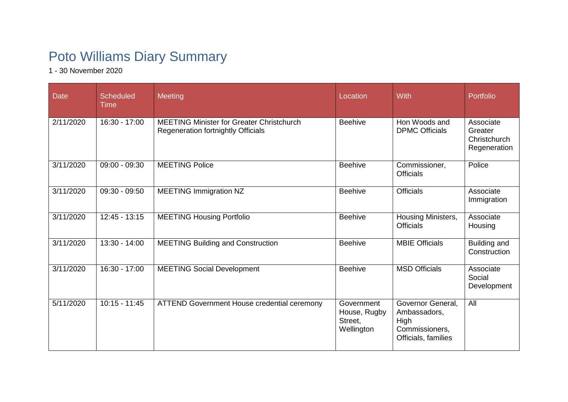## Poto Williams Diary Summary

1 - 30 November 2020

| <b>Date</b> | <b>Scheduled</b><br>Time | Meeting                                                                                       | Location                                            | With                                                                               | Portfolio                                            |
|-------------|--------------------------|-----------------------------------------------------------------------------------------------|-----------------------------------------------------|------------------------------------------------------------------------------------|------------------------------------------------------|
| 2/11/2020   | 16:30 - 17:00            | <b>MEETING Minister for Greater Christchurch</b><br><b>Regeneration fortnightly Officials</b> | <b>Beehive</b>                                      | Hon Woods and<br><b>DPMC Officials</b>                                             | Associate<br>Greater<br>Christchurch<br>Regeneration |
| 3/11/2020   | $09:00 - 09:30$          | <b>MEETING Police</b>                                                                         | <b>Beehive</b>                                      | Commissioner,<br><b>Officials</b>                                                  | Police                                               |
| 3/11/2020   | $09:30 - 09:50$          | <b>MEETING Immigration NZ</b>                                                                 | <b>Beehive</b>                                      | <b>Officials</b>                                                                   | Associate<br>Immigration                             |
| 3/11/2020   | $12:45 - 13:15$          | <b>MEETING Housing Portfolio</b>                                                              | <b>Beehive</b>                                      | Housing Ministers,<br><b>Officials</b>                                             | Associate<br>Housing                                 |
| 3/11/2020   | $13:30 - 14:00$          | <b>MEETING Building and Construction</b>                                                      | <b>Beehive</b>                                      | <b>MBIE Officials</b>                                                              | Building and<br>Construction                         |
| 3/11/2020   | $16:30 - 17:00$          | <b>MEETING Social Development</b>                                                             | <b>Beehive</b>                                      | <b>MSD Officials</b>                                                               | Associate<br>Social<br>Development                   |
| 5/11/2020   | $10:15 - 11:45$          | ATTEND Government House credential ceremony                                                   | Government<br>House, Rugby<br>Street,<br>Wellington | Governor General,<br>Ambassadors,<br>High<br>Commissioners,<br>Officials, families | All                                                  |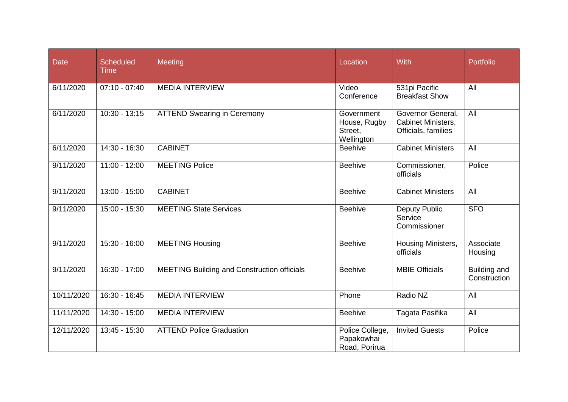| <b>Date</b> | <b>Scheduled</b><br><b>Time</b> | Meeting                                            | Location                                            | With                                                           | Portfolio                    |
|-------------|---------------------------------|----------------------------------------------------|-----------------------------------------------------|----------------------------------------------------------------|------------------------------|
| 6/11/2020   | $07:10 - 07:40$                 | <b>MEDIA INTERVIEW</b>                             | Video<br>Conference                                 | 531pi Pacific<br><b>Breakfast Show</b>                         | All                          |
| 6/11/2020   | $10:30 - 13:15$                 | <b>ATTEND Swearing in Ceremony</b>                 | Government<br>House, Rugby<br>Street,<br>Wellington | Governor General,<br>Cabinet Ministers,<br>Officials, families | $\overline{All}$             |
| 6/11/2020   | 14:30 - 16:30                   | <b>CABINET</b>                                     | <b>Beehive</b>                                      | <b>Cabinet Ministers</b>                                       | All                          |
| 9/11/2020   | $11:00 - 12:00$                 | <b>MEETING Police</b>                              | <b>Beehive</b>                                      | Commissioner,<br>officials                                     | Police                       |
| 9/11/2020   | $13:00 - 15:00$                 | <b>CABINET</b>                                     | <b>Beehive</b>                                      | <b>Cabinet Ministers</b>                                       | All                          |
| 9/11/2020   | 15:00 - 15:30                   | <b>MEETING State Services</b>                      | <b>Beehive</b>                                      | <b>Deputy Public</b><br>Service<br>Commissioner                | <b>SFO</b>                   |
| 9/11/2020   | $15:30 - 16:00$                 | <b>MEETING Housing</b>                             | <b>Beehive</b>                                      | Housing Ministers,<br>officials                                | Associate<br>Housing         |
| 9/11/2020   | $16:30 - 17:00$                 | <b>MEETING Building and Construction officials</b> | <b>Beehive</b>                                      | <b>MBIE Officials</b>                                          | Building and<br>Construction |
| 10/11/2020  | 16:30 - 16:45                   | <b>MEDIA INTERVIEW</b>                             | Phone                                               | Radio NZ                                                       | All                          |
| 11/11/2020  | $14:30 - 15:00$                 | <b>MEDIA INTERVIEW</b>                             | <b>Beehive</b>                                      | Tagata Pasifika                                                | $\overline{All}$             |
| 12/11/2020  | $13:45 - 15:30$                 | <b>ATTEND Police Graduation</b>                    | Police College,<br>Papakowhai<br>Road, Porirua      | <b>Invited Guests</b>                                          | Police                       |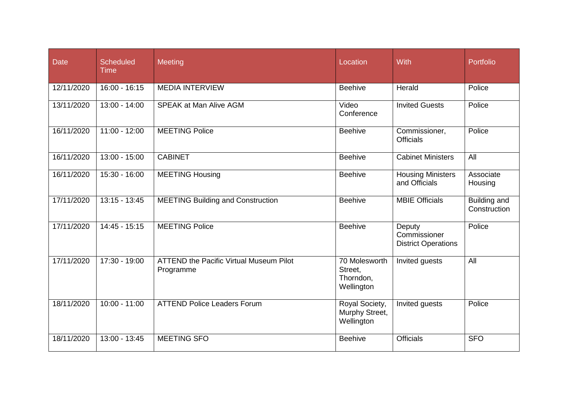| <b>Date</b> | <b>Scheduled</b><br><b>Time</b> | Meeting                                                     | Location                                            | With                                                 | Portfolio                           |
|-------------|---------------------------------|-------------------------------------------------------------|-----------------------------------------------------|------------------------------------------------------|-------------------------------------|
| 12/11/2020  | $16:00 - 16:15$                 | <b>MEDIA INTERVIEW</b>                                      | <b>Beehive</b>                                      | Herald                                               | Police                              |
| 13/11/2020  | $13:00 - 14:00$                 | <b>SPEAK at Man Alive AGM</b>                               | Video<br>Conference                                 | <b>Invited Guests</b>                                | Police                              |
| 16/11/2020  | $11:00 - 12:00$                 | <b>MEETING Police</b>                                       | <b>Beehive</b>                                      | Commissioner,<br><b>Officials</b>                    | Police                              |
| 16/11/2020  | $13:00 - 15:00$                 | <b>CABINET</b>                                              | <b>Beehive</b>                                      | <b>Cabinet Ministers</b>                             | $\overline{All}$                    |
| 16/11/2020  | 15:30 - 16:00                   | <b>MEETING Housing</b>                                      | <b>Beehive</b>                                      | <b>Housing Ministers</b><br>and Officials            | Associate<br>Housing                |
| 17/11/2020  | $13:15 - 13:45$                 | <b>MEETING Building and Construction</b>                    | <b>Beehive</b>                                      | <b>MBIE Officials</b>                                | <b>Building and</b><br>Construction |
| 17/11/2020  | $14:45 - 15:15$                 | <b>MEETING Police</b>                                       | <b>Beehive</b>                                      | Deputy<br>Commissioner<br><b>District Operations</b> | Police                              |
| 17/11/2020  | 17:30 - 19:00                   | <b>ATTEND the Pacific Virtual Museum Pilot</b><br>Programme | 70 Molesworth<br>Street.<br>Thorndon,<br>Wellington | Invited guests                                       | All                                 |
| 18/11/2020  | $10:00 - 11:00$                 | <b>ATTEND Police Leaders Forum</b>                          | Royal Society,<br>Murphy Street,<br>Wellington      | <b>Invited guests</b>                                | Police                              |
| 18/11/2020  | $13:00 - 13:45$                 | <b>MEETING SFO</b>                                          | <b>Beehive</b>                                      | <b>Officials</b>                                     | <b>SFO</b>                          |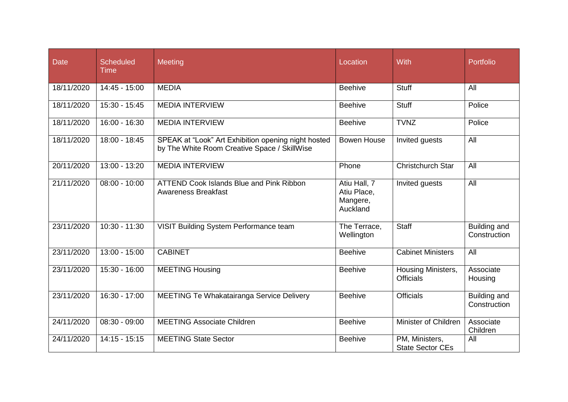| <b>Date</b> | <b>Scheduled</b><br><b>Time</b> | Meeting                                                                                             | Location                                            | With                                      | Portfolio                           |
|-------------|---------------------------------|-----------------------------------------------------------------------------------------------------|-----------------------------------------------------|-------------------------------------------|-------------------------------------|
| 18/11/2020  | 14:45 - 15:00                   | <b>MEDIA</b>                                                                                        | <b>Beehive</b>                                      | <b>Stuff</b>                              | All                                 |
| 18/11/2020  | 15:30 - 15:45                   | <b>MEDIA INTERVIEW</b>                                                                              | <b>Beehive</b>                                      | <b>Stuff</b>                              | Police                              |
| 18/11/2020  | $16:00 - 16:30$                 | <b>MEDIA INTERVIEW</b>                                                                              | <b>Beehive</b>                                      | <b>TVNZ</b>                               | Police                              |
| 18/11/2020  | 18:00 - 18:45                   | SPEAK at "Look" Art Exhibition opening night hosted<br>by The White Room Creative Space / SkillWise | <b>Bowen House</b>                                  | Invited guests                            | All                                 |
| 20/11/2020  | 13:00 - 13:20                   | <b>MEDIA INTERVIEW</b>                                                                              | Phone                                               | <b>Christchurch Star</b>                  | All                                 |
| 21/11/2020  | $08:00 - 10:00$                 | <b>ATTEND Cook Islands Blue and Pink Ribbon</b><br><b>Awareness Breakfast</b>                       | Atiu Hall, 7<br>Atiu Place,<br>Mangere,<br>Auckland | Invited guests                            | All                                 |
| 23/11/2020  | $10:30 - 11:30$                 | VISIT Building System Performance team                                                              | The Terrace,<br>Wellington                          | <b>Staff</b>                              | Building and<br>Construction        |
| 23/11/2020  | $13:00 - 15:00$                 | <b>CABINET</b>                                                                                      | <b>Beehive</b>                                      | <b>Cabinet Ministers</b>                  | All                                 |
| 23/11/2020  | $15:30 - 16:00$                 | <b>MEETING Housing</b>                                                                              | <b>Beehive</b>                                      | Housing Ministers,<br><b>Officials</b>    | Associate<br>Housing                |
| 23/11/2020  | 16:30 - 17:00                   | MEETING Te Whakatairanga Service Delivery                                                           | <b>Beehive</b>                                      | <b>Officials</b>                          | <b>Building and</b><br>Construction |
| 24/11/2020  | $08:30 - 09:00$                 | <b>MEETING Associate Children</b>                                                                   | <b>Beehive</b>                                      | Minister of Children                      | Associate<br>Children               |
| 24/11/2020  | $\overline{14:15}$ - 15:15      | <b>MEETING State Sector</b>                                                                         | <b>Beehive</b>                                      | PM, Ministers,<br><b>State Sector CEs</b> | All                                 |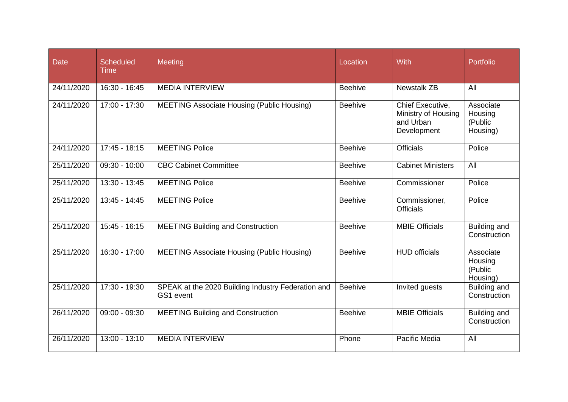| <b>Date</b> | <b>Scheduled</b><br><b>Time</b> | <b>Meeting</b>                                                  | Location       | <b>With</b>                                                         | Portfolio                                   |
|-------------|---------------------------------|-----------------------------------------------------------------|----------------|---------------------------------------------------------------------|---------------------------------------------|
| 24/11/2020  | $16:30 - 16:45$                 | <b>MEDIA INTERVIEW</b>                                          | <b>Beehive</b> | <b>Newstalk ZB</b>                                                  | All                                         |
| 24/11/2020  | 17:00 - 17:30                   | <b>MEETING Associate Housing (Public Housing)</b>               | <b>Beehive</b> | Chief Executive,<br>Ministry of Housing<br>and Urban<br>Development | Associate<br>Housing<br>(Public<br>Housing) |
| 24/11/2020  | $17:45 - 18:15$                 | <b>MEETING Police</b>                                           | <b>Beehive</b> | <b>Officials</b>                                                    | Police                                      |
| 25/11/2020  | $09:30 - 10:00$                 | <b>CBC Cabinet Committee</b>                                    | <b>Beehive</b> | <b>Cabinet Ministers</b>                                            | All                                         |
| 25/11/2020  | 13:30 - 13:45                   | <b>MEETING Police</b>                                           | <b>Beehive</b> | Commissioner                                                        | Police                                      |
| 25/11/2020  | $13:45 - 14:45$                 | <b>MEETING Police</b>                                           | <b>Beehive</b> | Commissioner,<br><b>Officials</b>                                   | Police                                      |
| 25/11/2020  | $15:45 - 16:15$                 | <b>MEETING Building and Construction</b>                        | <b>Beehive</b> | <b>MBIE Officials</b>                                               | <b>Building and</b><br>Construction         |
| 25/11/2020  | 16:30 - 17:00                   | <b>MEETING Associate Housing (Public Housing)</b>               | <b>Beehive</b> | <b>HUD officials</b>                                                | Associate<br>Housing<br>(Public<br>Housing) |
| 25/11/2020  | 17:30 - 19:30                   | SPEAK at the 2020 Building Industry Federation and<br>GS1 event | <b>Beehive</b> | Invited guests                                                      | Building and<br>Construction                |
| 26/11/2020  | $09:00 - 09:30$                 | <b>MEETING Building and Construction</b>                        | <b>Beehive</b> | <b>MBIE Officials</b>                                               | Building and<br>Construction                |
| 26/11/2020  | $13:00 - 13:10$                 | <b>MEDIA INTERVIEW</b>                                          | Phone          | Pacific Media                                                       | All                                         |